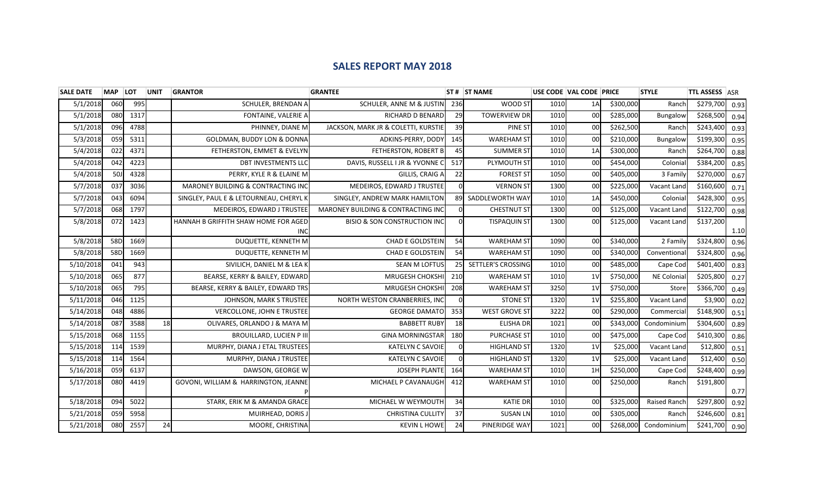## **SALES REPORT MAY 2018**

| <b>SALE DATE</b> | <b>MAP</b> | <b>LOT</b> | <b>UNIT</b> | <b>GRANTOR</b>                         | <b>GRANTEE</b>                                |          | $ST#$ ST NAME        | USE CODE VAL CODE PRICE |                 |           | <b>STYLE</b> | <b>TTL ASSESS ASR</b> |      |
|------------------|------------|------------|-------------|----------------------------------------|-----------------------------------------------|----------|----------------------|-------------------------|-----------------|-----------|--------------|-----------------------|------|
| 5/1/2018         | 060        | 995        |             | SCHULER, BRENDAN A                     | SCHULER, ANNE M & JUSTIN                      | 236      | WOOD ST              | 1010                    | 1A              | \$300,000 | Ranch        | \$279,700             | 0.93 |
| 5/1/2018         | 080        | 1317       |             | FONTAINE, VALERIE A                    | RICHARD D BENARD                              | 29       | <b>TOWERVIEW DR</b>  | 1010                    | 00              | \$285,000 | Bungalow     | \$268,500             | 0.94 |
| 5/1/2018         | 096        | 4788       |             | PHINNEY, DIANE M                       | JACKSON, MARK JR & COLETTI, KURSTIE           | 39       | <b>PINE ST</b>       | 1010                    | 00              | \$262,500 | Ranch        | \$243,400             | 0.93 |
| 5/3/2018         | 059        | 5311       |             | <b>GOLDMAN, BUDDY LON &amp; DONNA</b>  | ADKINS-PERRY, DODY                            | 145      | <b>WAREHAM ST</b>    | 1010                    | 00              | \$210,000 | Bungalow     | \$199,300             | 0.95 |
| 5/4/2018         | 022        | 4371       |             | FETHERSTON, EMMET & EVELYN             | FETHERSTON, ROBERT B                          | 45       | <b>SUMMER ST</b>     | 1010                    | 1A              | \$300,000 | Ranch        | \$264,700             | 0.88 |
| 5/4/2018         | 042        | 4223       |             | <b>DBT INVESTMENTS LLC</b>             | DAVIS, RUSSELL I JR & YVONNE C                | 517      | PLYMOUTH ST          | 1010                    | 00              | \$454,000 | Colonial     | \$384,200             | 0.85 |
| 5/4/2018         | 50J        | 4328       |             | PERRY, KYLE R & ELAINE M               | GILLIS, CRAIG A                               | 22       | <b>FOREST ST</b>     | 1050                    | 00              | \$405,000 | 3 Family     | \$270,000             | 0.67 |
| 5/7/2018         | 037        | 3036       |             | MARONEY BUILDING & CONTRACTING INC     | MEDEIROS, EDWARD J TRUSTEE                    |          | <b>VERNON ST</b>     | 1300                    | 00              | \$225,000 | Vacant Land  | \$160,600             | 0.71 |
| 5/7/2018         | 043        | 6094       |             | SINGLEY, PAUL E & LETOURNEAU, CHERYL K | SINGLEY, ANDREW MARK HAMILTON                 | 89       | SADDLEWORTH WAY      | 1010                    | 1A              | \$450,000 | Colonial     | \$428,300             | 0.95 |
| 5/7/2018         | 068        | 1797       |             | MEDEIROS, EDWARD J TRUSTEE             | <b>MARONEY BUILDING &amp; CONTRACTING INC</b> | $\Omega$ | <b>CHESTNUT ST</b>   | 1300                    | $00 \,$         | \$125,000 | Vacant Land  | \$122,700             | 0.98 |
| 5/8/2018         | 072        | 1423       |             | HANNAH B GRIFFITH SHAW HOME FOR AGED   | <b>BISIO &amp; SON CONSTRUCTION INC</b>       | $\Omega$ | <b>TISPAQUIN ST</b>  | 1300                    | 00l             | \$125,000 | Vacant Land  | \$137,200             |      |
|                  |            |            |             | <b>INC</b>                             |                                               |          |                      |                         |                 |           |              |                       | 1.10 |
| 5/8/2018         | 58D        | 1669       |             | DUQUETTE, KENNETH M                    | <b>CHAD E GOLDSTEIN</b>                       | 54       | <b>WAREHAM ST</b>    | 1090                    | 00              | \$340,000 | 2 Family     | \$324,800             | 0.96 |
| 5/8/2018         | 58D        | 1669       |             | DUQUETTE, KENNETH M                    | <b>CHAD E GOLDSTEIN</b>                       | 54       | <b>WAREHAM ST</b>    | 1090                    | 00 <sup>1</sup> | \$340,000 | Conventional | \$324,800             | 0.96 |
| 5/10/2018        | 041        | 943        |             | SIVILICH, DANIEL M & LEAK              | <b>SEAN M LOFTUS</b>                          | 25       | SETTLER'S CROSSING   | 1010                    | 00              | \$485,000 | Cape Cod     | \$401,400             | 0.83 |
| 5/10/2018        | 065        | 877        |             | BEARSE, KERRY & BAILEY, EDWARD         | MRUGESH CHOKSHI                               | 210      | <b>WAREHAM ST</b>    | 1010                    | 1 <sup>V</sup>  | \$750,000 | NE Colonial  | \$205,800             | 0.27 |
| 5/10/2018        | 065        | 795        |             | BEARSE, KERRY & BAILEY, EDWARD TRS     | MRUGESH CHOKSHI                               | 208      | <b>WAREHAM ST</b>    | 3250                    | 1 <sub>V</sub>  | \$750,000 | Store        | \$366,700             | 0.49 |
| 5/11/2018        | 046        | 1125       |             | <b>JOHNSON, MARK S TRUSTEE</b>         | NORTH WESTON CRANBERRIES, INC                 | $\Omega$ | <b>STONE ST</b>      | 1320                    | 1 <sup>V</sup>  | \$255,800 | Vacant Land  | \$3,900               | 0.02 |
| 5/14/2018        | 048        | 4886       |             | VERCOLLONE, JOHN E TRUSTEE             | <b>GEORGE DAMATO</b>                          | 353      | <b>WEST GROVE ST</b> | 3222                    | 00              | \$290,000 | Commercial   | \$148,900             | 0.51 |
| 5/14/2018        | 087        | 3588       | 18          | OLIVARES, ORLANDO J & MAYA M           | <b>BABBETT RUBY</b>                           | 18       | <b>ELISHA DR</b>     | 1021                    | 00              | \$343,000 | Condominium  | \$304,600             | 0.89 |
| 5/15/2018        | 068        | 1155       |             | <b>BROUILLARD, LUCIEN P III</b>        | <b>GINA MORNINGSTAR</b>                       | 180      | <b>PURCHASE ST</b>   | 1010                    | 00              | \$475,000 | Cape Cod     | \$410,300             | 0.86 |
| 5/15/2018        | 114        | 1539       |             | MURPHY, DIANA J ETAL TRUSTEES          | <b>KATELYN C SAVOIE</b>                       |          | <b>HIGHLAND ST</b>   | 1320                    | 1 <sup>V</sup>  | \$25,000  | Vacant Land  | \$12,800              | 0.51 |
| 5/15/2018        | 114        | 1564       |             | MURPHY, DIANA J TRUSTEE                | <b>KATELYN C SAVOIE</b>                       |          | <b>HIGHLAND ST</b>   | 1320                    | 1 <sub>V</sub>  | \$25,000  | Vacant Land  | \$12,400              | 0.50 |
| 5/16/2018        | 059        | 6137       |             | DAWSON, GEORGE W                       | <b>JOSEPH PLANTE</b>                          | 164      | <b>WAREHAM ST</b>    | 1010                    | 1H              | \$250,000 | Cape Cod     | \$248,400             | 0.99 |
| 5/17/2018        | 080        | 4419       |             | GOVONI, WILLIAM & HARRINGTON, JEANNE   | MICHAEL P CAVANAUGH                           | 412      | <b>WAREHAM ST</b>    | 1010                    | 00              | \$250,000 | Ranch        | \$191,800             |      |
|                  |            |            |             |                                        |                                               |          |                      |                         |                 |           |              |                       | 0.77 |
| 5/18/2018        | 094        | 5022       |             | STARK, ERIK M & AMANDA GRACE           | MICHAEL W WEYMOUTH                            | 34       | <b>KATIE DR</b>      | 1010                    | 00 <sup>1</sup> | \$325,000 | Raised Ranch | \$297,800             | 0.92 |
| 5/21/2018        | 059        | 5958       |             | MUIRHEAD, DORIS J                      | <b>CHRISTINA CULLITY</b>                      | 37       | <b>SUSAN LN</b>      | 1010                    | 00 <sup>1</sup> | \$305,000 | Ranch        | \$246,600             | 0.81 |
| 5/21/2018        | 080        | 2557       | 24          | MOORE, CHRISTINA                       | <b>KEVIN L HOWE</b>                           | 24       | PINERIDGE WAY        | 1021                    | 00 <sup>1</sup> | \$268,000 | Condominium  | \$241,700             | 0.90 |